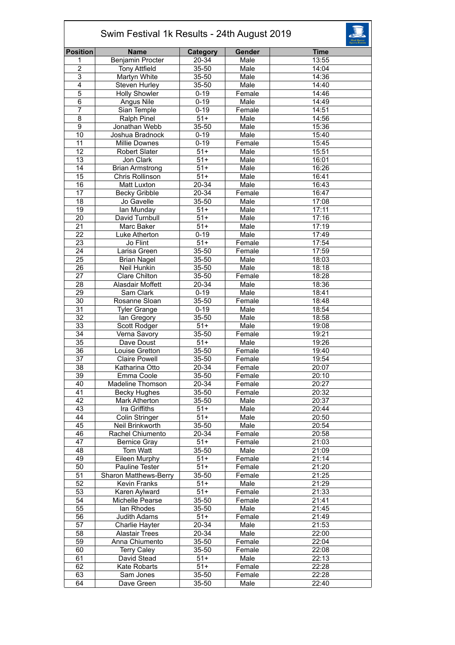| Swim Festival 1k Results - 24th August 2019 |                         |                  |        |             |  |  |
|---------------------------------------------|-------------------------|------------------|--------|-------------|--|--|
| <b>Position</b>                             | <b>Name</b>             | <b>Category</b>  | Gender | <b>Time</b> |  |  |
| 1                                           | <b>Benjamin Procter</b> | 20-34            | Male   | 13:55       |  |  |
| $\overline{2}$                              | <b>Tony Attfield</b>    | $35 - 50$        | Male   | 14:04       |  |  |
| 3                                           | Martyn White            | 35-50            | Male   | 14:36       |  |  |
| 4                                           | Steven Hurley           | 35-50            | Male   | 14:40       |  |  |
| 5                                           | <b>Holly Showler</b>    | $0 - 19$         | Female | 14:46       |  |  |
| 6                                           | Angus Nile              | $0 - 19$         | Male   | 14:49       |  |  |
| 7                                           | Sian Temple             | $0 - 19$         | Female | 14:51       |  |  |
| $\overline{8}$                              | Ralph Pinel             | $51+$            | Male   | 14:56       |  |  |
| $\overline{9}$                              | Jonathan Webb           | 35-50            | Male   | 15:36       |  |  |
| 10                                          | Joshua Bradnock         | $0 - 19$         | Male   | 15:40       |  |  |
| 11                                          | Millie Downes           | $0 - 19$         | Female | 15:45       |  |  |
| $\overline{12}$                             | <b>Robert Slater</b>    | $51+$            | Male   | 15:51       |  |  |
| 13                                          | Jon Clark               | $51+$            | Male   | 16:01       |  |  |
| 14                                          | <b>Brian Armstrong</b>  | $\overline{51+}$ | Male   | 16:26       |  |  |
| 15                                          | Chris Rollinson         | $51+$            | Male   | 16:41       |  |  |
| 16                                          | Matt Luxton             | 20-34            | Male   | 16:43       |  |  |
| $\overline{17}$                             | <b>Becky Gribble</b>    | $20 - 34$        | Female | 16:47       |  |  |
| $\overline{18}$                             | Jo Gavelle              | 35-50            | Male   | 17:08       |  |  |
| $\overline{19}$                             | lan Munday              | $51+$            | Male   | 17:11       |  |  |
| $\overline{20}$                             | David Turnbull          | $51+$            | Male   | 17:16       |  |  |
| 21                                          | Marc Baker              | $51+$            | Male   | 17:19       |  |  |
| 22                                          | Luke Atherton           | $0 - 19$         | Male   | 17:49       |  |  |
| $\overline{23}$                             | Jo Flint                | $\overline{51+}$ | Female | 17:54       |  |  |
| 24                                          | Larisa Green            | 35-50            | Female | 17:59       |  |  |
| $\overline{25}$                             | <b>Brian Nagel</b>      | 35-50            | Male   | 18:03       |  |  |
| 26                                          | Neil Hunkin             | 35-50            | Male   | 18:18       |  |  |
| 27                                          | <b>Clare Chilton</b>    | 35-50            | Female | 18:28       |  |  |
| $\overline{28}$                             | Alasdair Moffett        | 20-34            | Male   | 18:36       |  |  |
| $\overline{29}$                             | Sam Clark               | $0 - 19$         | Male   | 18:41       |  |  |
| 30                                          | Rosanne Sloan           | 35-50            | Female | 18:48       |  |  |
| 31                                          | <b>Tyler Grange</b>     | $0 - 19$         | Male   | 18:54       |  |  |
| 32                                          | lan Gregory             | 35-50            | Male   | 18:58       |  |  |
| $\overline{33}$                             | Scott Rodger            | $51+$            | Male   | 19:08       |  |  |
| 34                                          | Verna Savory            | 35-50            | Female | 19:21       |  |  |
| $\overline{35}$                             | Dave Doust              | $\overline{51+}$ | Male   | 19:26       |  |  |
| 36                                          | Louise Gretton          | 35-50            | Female | 19:40       |  |  |
| 37                                          | <b>Claire Powell</b>    | 35-50            | Female | 19:54       |  |  |
| $\overline{38}$                             | Katharina Otto          | $20 - 34$        | Female | 20:07       |  |  |
| 39                                          | Emma Coole              | 35-50            | Female | 20:10       |  |  |
| 40                                          | Madeline Thomson        | 20-34            | Female | 20:27       |  |  |
| 41                                          | <b>Becky Hughes</b>     | 35-50            | Female | 20:32       |  |  |
| 42                                          | Mark Atherton           | 35-50            | Male   | 20:37       |  |  |
| 43                                          | Ira Griffiths           | $51+$            | Male   | 20:44       |  |  |
| 44                                          | Colin Stringer          | $51+$            | Male   | 20:50       |  |  |
| 45                                          | Neil Brinkworth         | 35-50            | Male   | 20:54       |  |  |
| 46                                          | Rachel Chiumento        | 20-34            | Female | 20:58       |  |  |
| 47                                          | <b>Bernice Gray</b>     | $51+$            | Female | 21:03       |  |  |
| 48                                          | Tom Watt                | 35-50            | Male   | 21:09       |  |  |
| 49                                          | Eileen Murphy           | $51+$            | Female | 21:14       |  |  |
| 50                                          | Pauline Tester          | $\overline{51+}$ | Female | 21:20       |  |  |
| 51                                          | Sharon Matthews-Berry   | $35 - 50$        | Female | 21:25       |  |  |
| 52                                          | Kevin Franks            | $51+$            | Male   | 21:29       |  |  |
| 53                                          | Karen Aylward           | $51+$            | Female | 21:33       |  |  |
| 54                                          | Michelle Pearse         | 35-50            | Female | 21:41       |  |  |
| 55                                          | lan Rhodes              | 35-50            | Male   | 21:45       |  |  |
| 56                                          | <b>Judith Adams</b>     | $51+$            | Female | 21:49       |  |  |
| 57                                          | Charlie Hayter          | 20-34            | Male   | 21:53       |  |  |
| 58                                          | <b>Alastair Trees</b>   | 20-34            | Male   | 22:00       |  |  |
| 59                                          | Anna Chiumento          | 35-50            | Female | 22:04       |  |  |
| 60                                          | <b>Terry Caley</b>      | 35-50            | Female | 22:08       |  |  |
| 61                                          | David Stead             | $51+$            | Male   | 22:13       |  |  |
| 62                                          | Kate Robarts            | $51+$            | Female | 22:28       |  |  |
| 63                                          | Sam Jones               | 35-50            | Female | 22:28       |  |  |
| 64                                          | Dave Green              | $35 - 50$        | Male   | 22:40       |  |  |